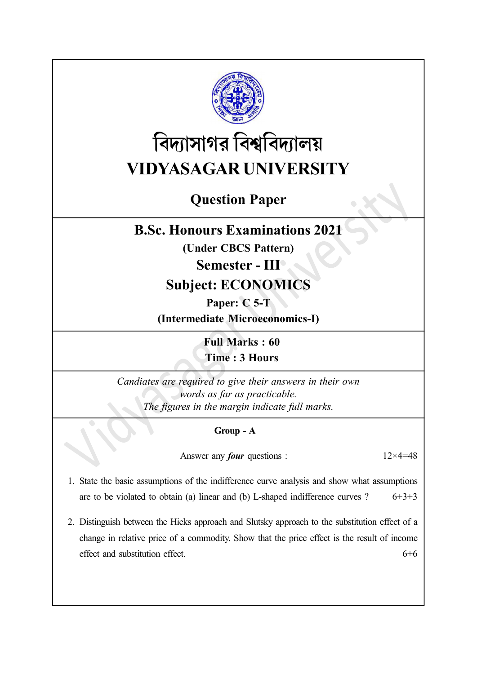

# বিদ্যাসাগর বিশ্ববিদ্যালয় VIDYASAGAR UNIVERSITY

# Question Paper

## B.Sc. Honours Examinations 2021

(Under CBCS Pattern)

### Semester - III

# Subject: ECONOMICS

### Paper: C 5-T

(Intermediate Microeconomics-I)

Full Marks : 60 Time : 3 Hours

Candiates are required to give their answers in their own words as far as practicable. The figures in the margin indicate full marks.

#### Group - A

Answer any *four* questions :  $12 \times 4 = 48$ 

- 1. State the basic assumptions of the indifference curve analysis and show what assumptions are to be violated to obtain (a) linear and (b) L-shaped indifference curves ?  $6+3+3$
- 2. Distinguish between the Hicks approach and Slutsky approach to the substitution effect of a change in relative price of a commodity. Show that the price effect is the result of income effect and substitution effect.  $6+6$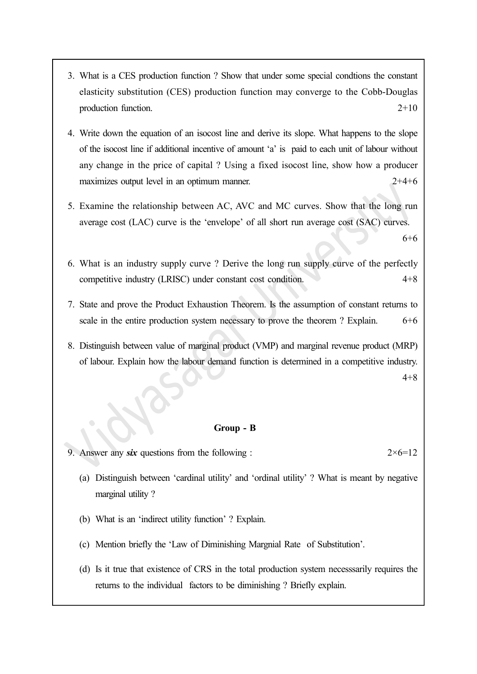- 3. What is a CES production function ? Show that under some special condtions the constant elasticity substitution (CES) production function may converge to the Cobb-Douglas production function. 2+10
- 4. Write down the equation of an isocost line and derive its slope. What happens to the slope of the isocost line if additional incentive of amount 'a' is paid to each unit of labour without any change in the price of capital ? Using a fixed isocost line, show how a producer maximizes output level in an optimum manner. 2+4+6
- 5. Examine the relationship between AC, AVC and MC curves. Show that the long run average cost (LAC) curve is the 'envelope' of all short run average cost (SAC) curves.

6+6

- 6. What is an industry supply curve ? Derive the long run supply curve of the perfectly competitive industry (LRISC) under constant cost condition. 4+8
- 7. State and prove the Product Exhaustion Theorem. Is the assumption of constant returns to scale in the entire production system necessary to prove the theorem ? Explain. 6+6
- 8. Distinguish between value of marginal product (VMP) and marginal revenue product (MRP) of labour. Explain how the labour demand function is determined in a competitive industry. 4+8

#### Group - B

9. Answer any six questions from the following :  $2\times 6=12$ 

- (a) Distinguish between 'cardinal utility' and 'ordinal utility' ? What is meant by negative marginal utility ?
- (b) What is an 'indirect utility function' ? Explain.
- (c) Mention briefly the 'Law of Diminishing Margnial Rate of Substitution'.
- (d) Is it true that existence of CRS in the total production system necesssarily requires the returns to the individual factors to be diminishing ? Briefly explain.